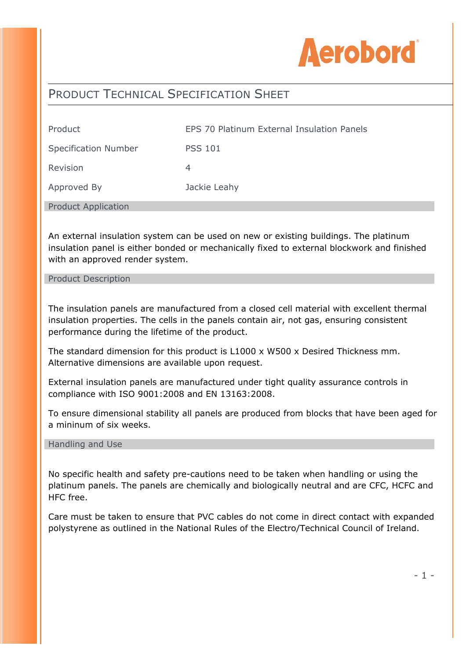

## PRODUCT TECHNICAL SPECIFICATION SHEET

| Product                     | EPS 70 Platinum External Insulation Panels |
|-----------------------------|--------------------------------------------|
| <b>Specification Number</b> | <b>PSS 101</b>                             |
| Revision                    | 4                                          |
| Approved By                 | Jackie Leahy                               |
| <b>Product Application</b>  |                                            |

An external insulation system can be used on new or existing buildings. The platinum insulation panel is either bonded or mechanically fixed to external blockwork and finished with an approved render system.

Product Description

The insulation panels are manufactured from a closed cell material with excellent thermal insulation properties. The cells in the panels contain air, not gas, ensuring consistent performance during the lifetime of the product.

The standard dimension for this product is L1000 x W500 x Desired Thickness mm. Alternative dimensions are available upon request.

External insulation panels are manufactured under tight quality assurance controls in compliance with ISO 9001:2008 and EN 13163:2008.

To ensure dimensional stability all panels are produced from blocks that have been aged for a mininum of six weeks.

## Handling and Use

No specific health and safety pre-cautions need to be taken when handling or using the platinum panels. The panels are chemically and biologically neutral and are CFC, HCFC and HFC free.

Care must be taken to ensure that PVC cables do not come in direct contact with expanded polystyrene as outlined in the National Rules of the Electro/Technical Council of Ireland.